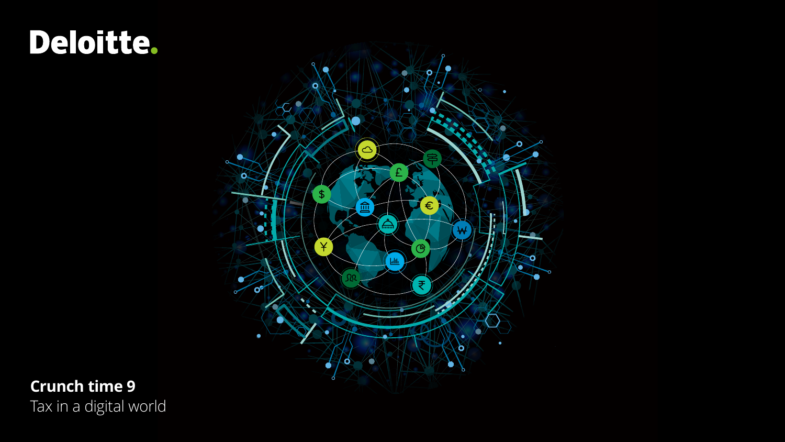## Deloitte.



### **Crunch time 9** Tax in a digital world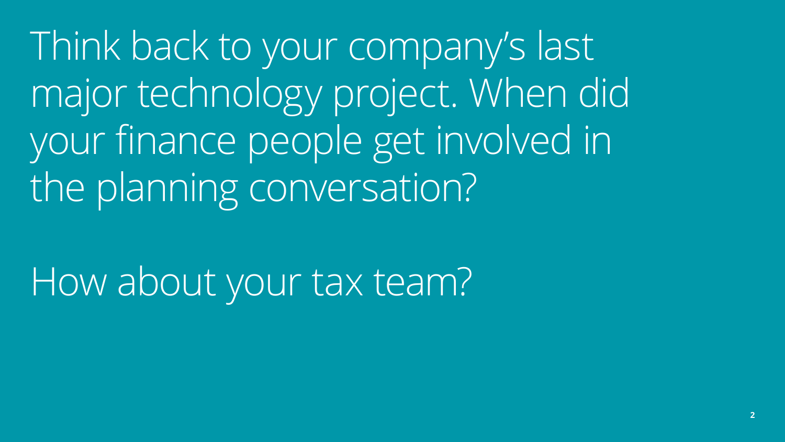Think back to your company's last major technology project. When did your finance people get involved in the planning conversation?

How about your tax team?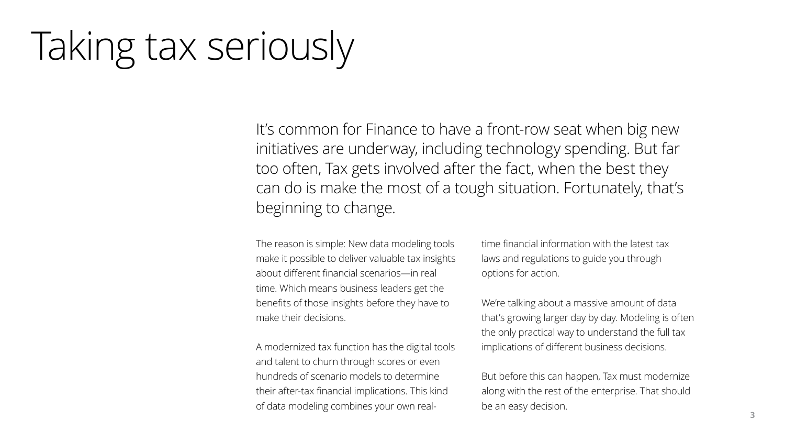## Taking tax seriously

It's common for Finance to have a front-row seat when big new initiatives are underway, including technology spending. But far too often, Tax gets involved after the fact, when the best they can do is make the most of a tough situation. Fortunately, that's beginning to change.

The reason is simple: New data modeling tools make it possible to deliver valuable tax insights about different financial scenarios—in real time. Which means business leaders get the benefits of those insights before they have to make their decisions.

A modernized tax function has the digital tools and talent to churn through scores or even hundreds of scenario models to determine their after-tax financial implications. This kind of data modeling combines your own realtime financial information with the latest tax laws and regulations to guide you through options for action.

We're talking about a massive amount of data that's growing larger day by day. Modeling is often the only practical way to understand the full tax implications of different business decisions.

But before this can happen, Tax must modernize along with the rest of the enterprise. That should be an easy decision.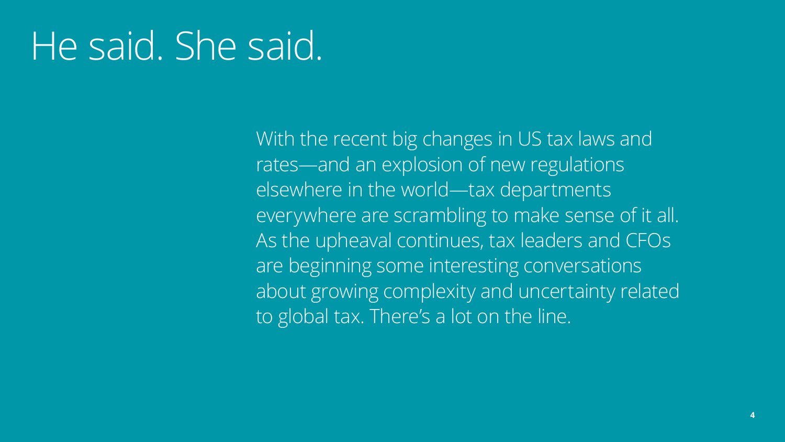## He said. She said.

With the recent big changes in US tax laws and rates—and an explosion of new regulations elsewhere in the world—tax departments everywhere are scrambling to make sense of it all. As the upheaval continues, tax leaders and CFOs are beginning some interesting conversations about growing complexity and uncertainty related to global tax. There's a lot on the line.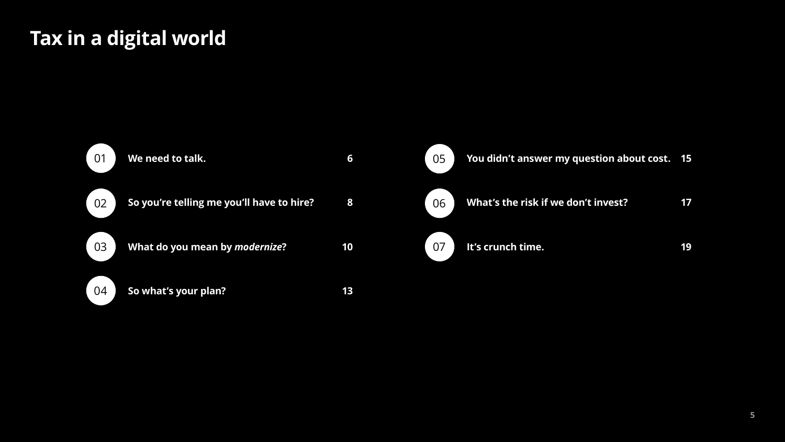## **Tax in a digital world**

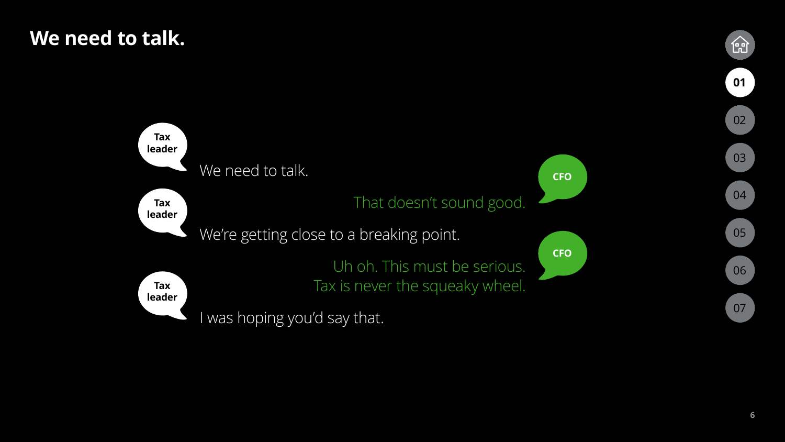### <span id="page-5-0"></span>**We need to talk.**



**01**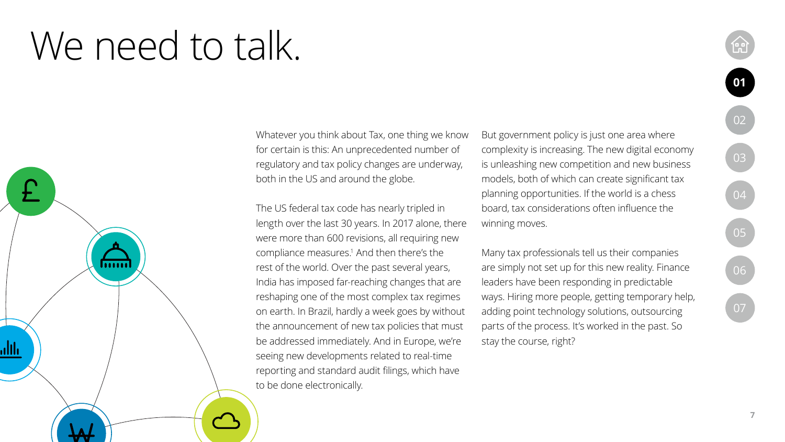## We need to talk.



Whatever you think about Tax, one thing we know for certain is this: An unprecedented number of regulatory and tax policy changes are underway, both in the US and around the globe.

The US federal tax code has nearly tripled in length over the last 30 years. In 2017 alone, there were more than 600 revisions, all requiring new compliance measures.<sup>1</sup> And then there's the rest of the world. Over the past several years, India has imposed far-reaching changes that are reshaping one of the most complex tax regimes on earth. In Brazil, hardly a week goes by without the announcement of new tax policies that must be addressed immediately. And in Europe, we're seeing new developments related to real-time reporting and standard audit filings, which have to be done electronically.

But government policy is just one area where complexity is increasing. The new digital economy is unleashing new competition and new business models, both of which can create significant tax planning opportunities. If the world is a chess board, tax considerations often influence the winning moves.

Many tax professionals tell us their companies are simply not set up for this new reality. Finance leaders have been responding in predictable ways. Hiring more people, getting temporary help, adding point technology solutions, outsourcing parts of the process. It's worked in the past. So stay the course, right?

[04](#page-12-0)

[02](#page-7-0)

**[01](#page-5-0)**

[05](#page-14-0)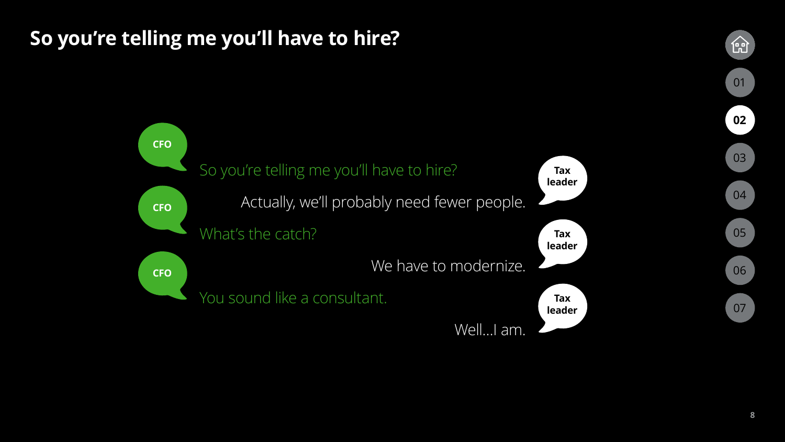## <span id="page-7-0"></span>**So you're telling me you'll have to hire?**



[01](#page-5-0)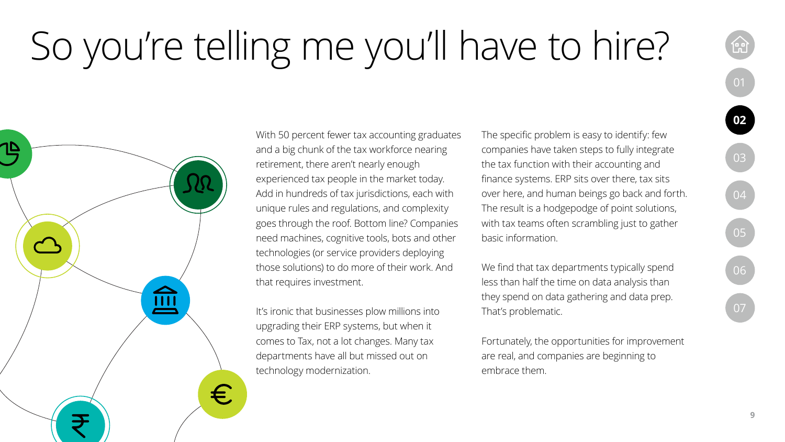# So you're telling me you'll have to hire?

血 €

With 50 percent fewer tax accounting graduates and a big chunk of the tax workforce nearing retirement, there aren't nearly enough experienced tax people in the market today. Add in hundreds of tax jurisdictions, each with unique rules and regulations, and complexity goes through the roof. Bottom line? Companies need machines, cognitive tools, bots and other technologies (or service providers deploying those solutions) to do more of their work. And that requires investment.

It's ironic that businesses plow millions into upgrading their ERP systems, but when it comes to Tax, not a lot changes. Many tax departments have all but missed out on technology modernization.

The specific problem is easy to identify: few companies have taken steps to fully integrate the tax function with their accounting and finance systems. ERP sits over there, tax sits over here, and human beings go back and forth. The result is a hodgepodge of point solutions, with tax teams often scrambling just to gather basic information.

We find that tax departments typically spend less than half the time on data analysis than they spend on data gathering and data prep. That's problematic.

Fortunately, the opportunities for improvement are real, and companies are beginning to embrace them.

[04](#page-12-0)

**[02](#page-7-0)**

[05](#page-14-0)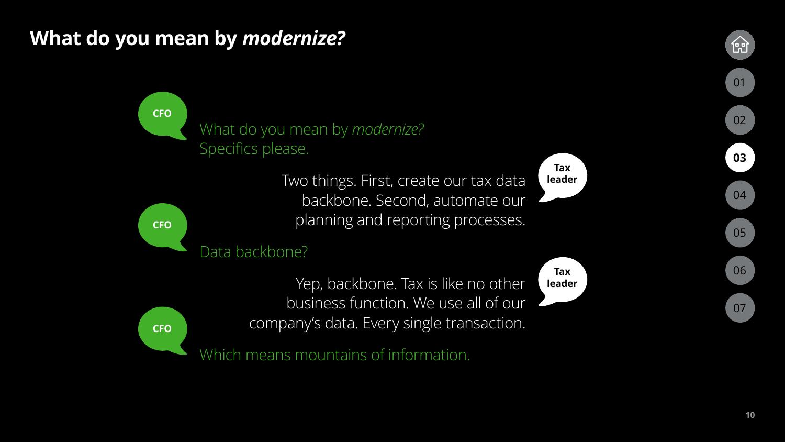### <span id="page-9-0"></span>**What do you mean by** *modernize?*

**CFO**

**CFO**

**CFO**

What do you mean by *modernize?* Specifics please.

> Two things. First, create our tax data backbone. Second, automate our planning and reporting processes.

### Data backbone?

Yep, backbone. Tax is like no other business function. We use all of our company's data. Every single transaction.

Which means mountains of information.

**Tax leader**

**Tax leader**

[07](#page-18-0)

[06](#page-16-0)

[05](#page-14-0)

[04](#page-12-0)

**03**

[02](#page-7-0)

[01](#page-5-0)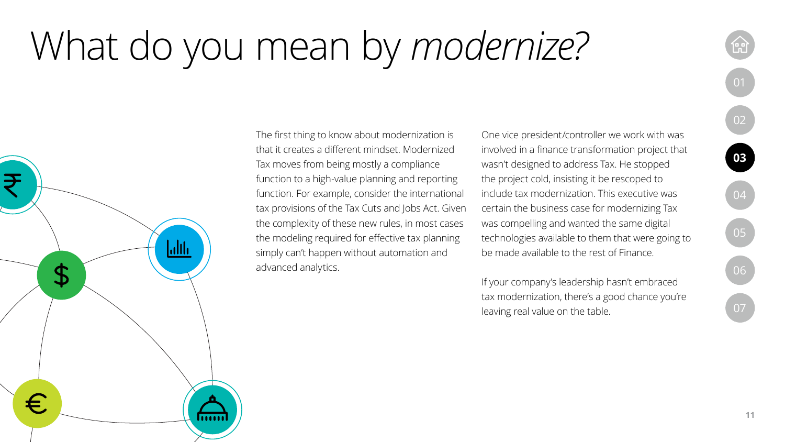## What do you mean by *modernize?*

₹  $\ln$  $\boldsymbol{\varphi}$ € mm

The first thing to know about modernization is that it creates a different mindset. Modernized Tax moves from being mostly a compliance function to a high-value planning and reporting function. For example, consider the international tax provisions of the Tax Cuts and Jobs Act. Given the complexity of these new rules, in most cases the modeling required for effective tax planning simply can't happen without automation and advanced analytics.

One vice president/controller we work with was involved in a finance transformation project that wasn't designed to address Tax. He stopped the project cold, insisting it be rescoped to include tax modernization. This executive was certain the business case for modernizing Tax was compelling and wanted the same digital technologies available to them that were going to be made available to the rest of Finance.

If your company's leadership hasn't embraced tax modernization, there's a good chance you're leaving real value on the table.

**[03](#page-9-0)**

[02](#page-7-0)

[04](#page-12-0)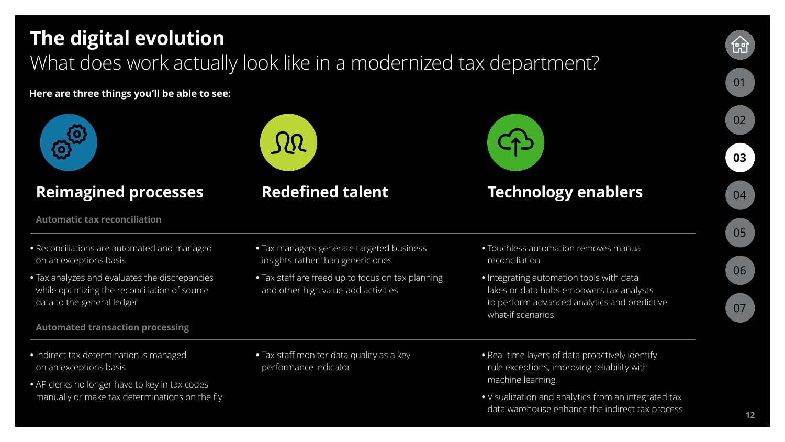## **The digital evolution** What does work actually look like in a modernized tax department?

**Here are three things you'll be able to see:**



### **Reimagined processes Redefined talent**

**Automatic tax reconciliation**





### **Technology enablers**

**•** Reconciliations are automated and managed on an exceptions basis

**•** Tax analyzes and evaluates the discrepancies while optimizing the reconciliation of source data to the general ledger

**Automated transaction processing**

- **•** Indirect tax determination is managed on an exceptions basis
- **•** AP clerks no longer have to key in tax codes manually or make tax determinations on the fly
- **•** Tax managers generate targeted business insights rather than generic ones
- **•** Tax staff are freed up to focus on tax planning and other high value-add activities
- **•** Touchless automation removes manual reconciliation
- **•** Integrating automation tools with data lakes or data hubs empowers tax analysts to perform advanced analytics and predictive what-if scenarios

**•** Tax staff monitor data quality as a key performance indicator

- **•** Real-time layers of data proactively identify rule exceptions, improving reliability with machine learning
- **•** Visualization and analytics from an integrated tax data warehouse enhance the indirect tax process

**[03](#page-9-0)**

[04](#page-12-0)

[07](#page-18-0)

[06](#page-16-0)

[05](#page-14-0)

[02](#page-7-0)

[01](#page-5-0)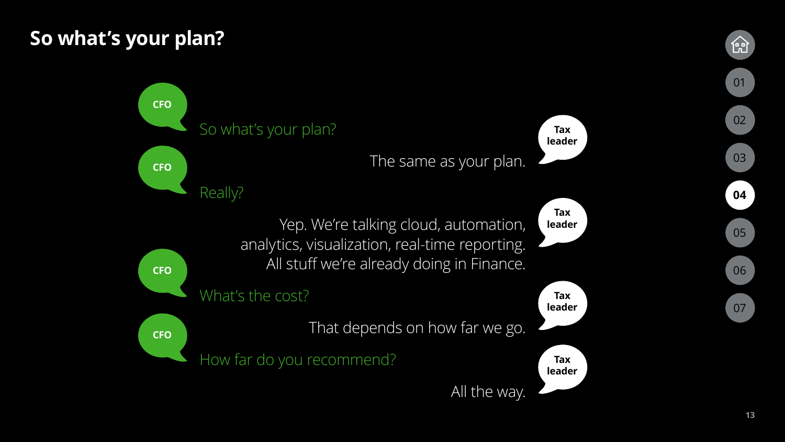## <span id="page-12-0"></span>**So what's your plan?**



**[03](#page-9-0)** 03

[07](#page-18-0)

[06](#page-16-0)

[05](#page-14-0)

**04**

[02](#page-7-0)

[01](#page-5-0)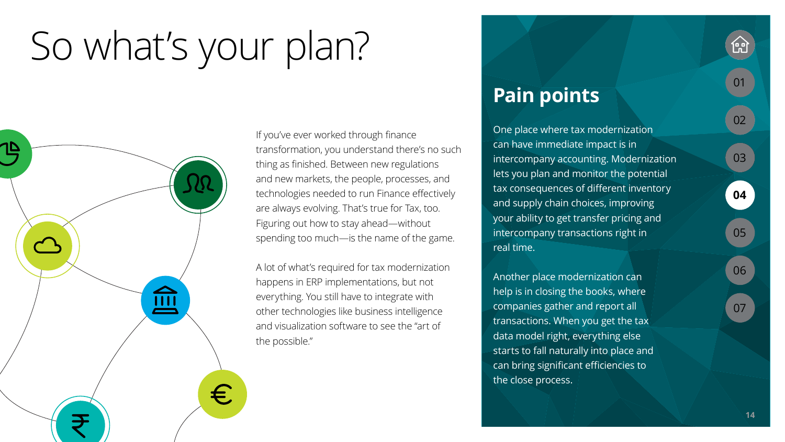## So what's your plan?

信 €

If you've ever worked through finance transformation, you understand there's no such thing as finished. Between new regulations and new markets, the people, processes, and technologies needed to run Finance effectively are always evolving. That's true for Tax, too. Figuring out how to stay ahead—without spending too much—is the name of the game.

A lot of what's required for tax modernization happens in ERP implementations, but not everything. You still have to integrate with other technologies like business intelligence and visualization software to see the "art of the possible."

### **Pain points**

One place where tax modernization can have immediate impact is in intercompany accounting. Modernization lets you plan and monitor the potential tax consequences of different inventory and supply chain choices, improving your ability to get transfer pricing and intercompany transactions right in real time.

Another place modernization can help is in closing the books, where companies gather and report all transactions. When you get the tax data model right, everything else starts to fall naturally into place and can bring significant efficiencies to the close process.

**[03](#page-9-0)** 03

**[04](#page-12-0)**

[07](#page-18-0)

[06](#page-16-0)

[05](#page-14-0)

[02](#page-7-0)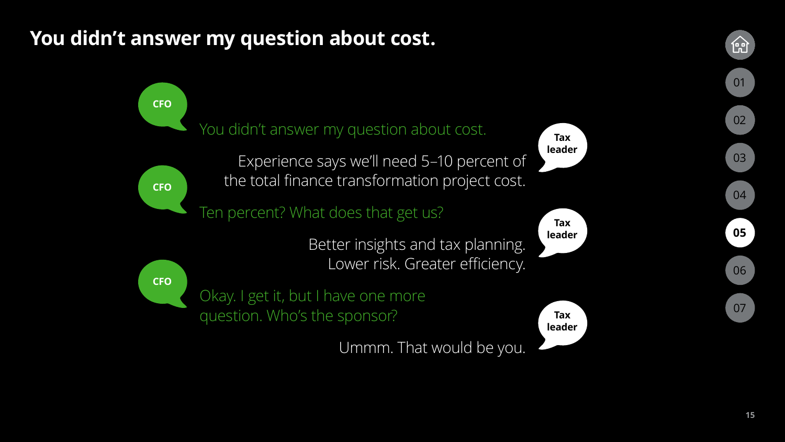## <span id="page-14-0"></span>**You didn't answer my question about cost.**



**[03](#page-9-0)** 03

[07](#page-18-0)

[06](#page-16-0)

**05**

[04](#page-12-0)

[02](#page-7-0)

[01](#page-5-0)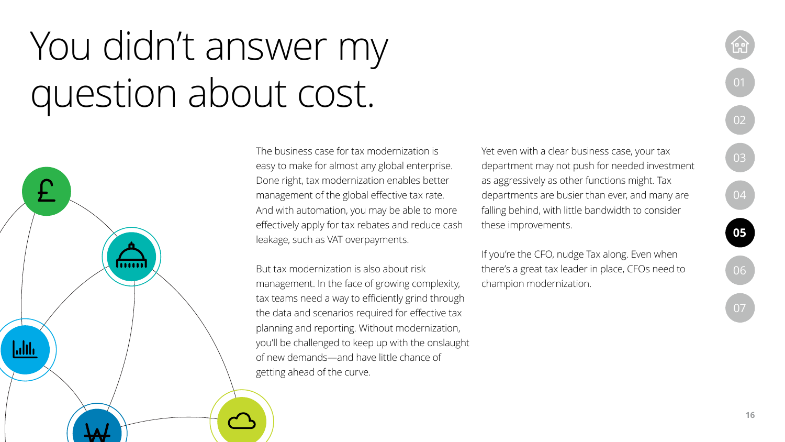## You didn't answer my question about cost.

mm  $\mathsf{L}$ lılı $\mathsf{L}$ 

The business case for tax modernization is easy to make for almost any global enterprise. Done right, tax modernization enables better management of the global effective tax rate. And with automation, you may be able to more effectively apply for tax rebates and reduce cash leakage, such as VAT overpayments.

But tax modernization is also about risk management. In the face of growing complexity, tax teams need a way to efficiently grind through the data and scenarios required for effective tax planning and reporting. Without modernization, you'll be challenged to keep up with the onslaught of new demands—and have little chance of getting ahead of the curve.

Yet even with a clear business case, your tax department may not push for needed investment as aggressively as other functions might. Tax departments are busier than ever, and many are falling behind, with little bandwidth to consider these improvements.

If you're the CFO, nudge Tax along. Even when there's a great tax leader in place, CFOs need to champion modernization.

[04](#page-12-0)

 $\overline{0}$ 

**[05](#page-14-0)**

[06](#page-16-0)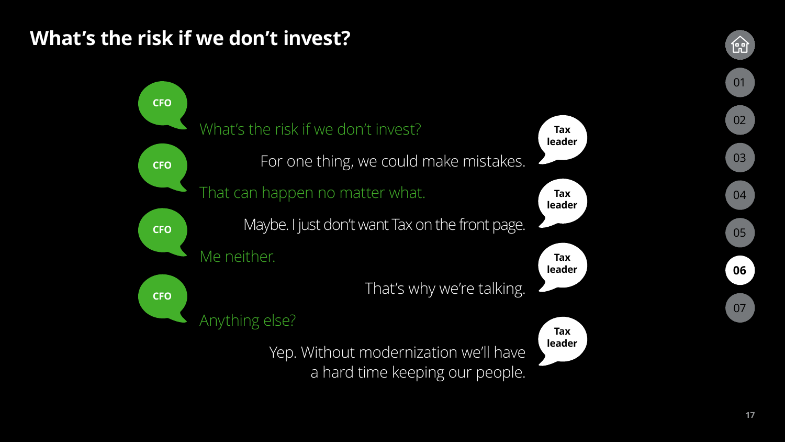### <span id="page-16-0"></span>**What's the risk if we don't invest?**

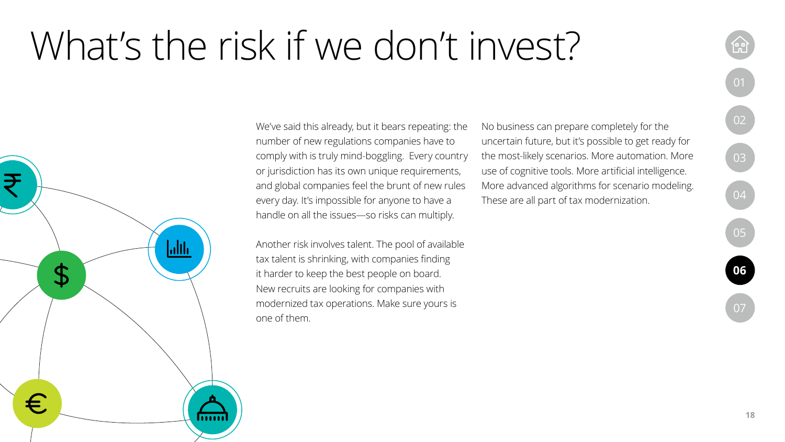## What's the risk if we don't invest?



We've said this already, but it bears repeating: the number of new regulations companies have to comply with is truly mind-boggling. Every country or jurisdiction has its own unique requirements, and global companies feel the brunt of new rules every day. It's impossible for anyone to have a handle on all the issues—so risks can multiply.

Another risk involves talent. The pool of available tax talent is shrinking, with companies finding it harder to keep the best people on board. New recruits are looking for companies with modernized tax operations. Make sure yours is one of them.

No business can prepare completely for the uncertain future, but it's possible to get ready for the most-likely scenarios. More automation. More use of cognitive tools. More artificial intelligence. More advanced algorithms for scenario modeling. These are all part of tax modernization.



[04](#page-12-0)

[02](#page-7-0)

[05](#page-14-0)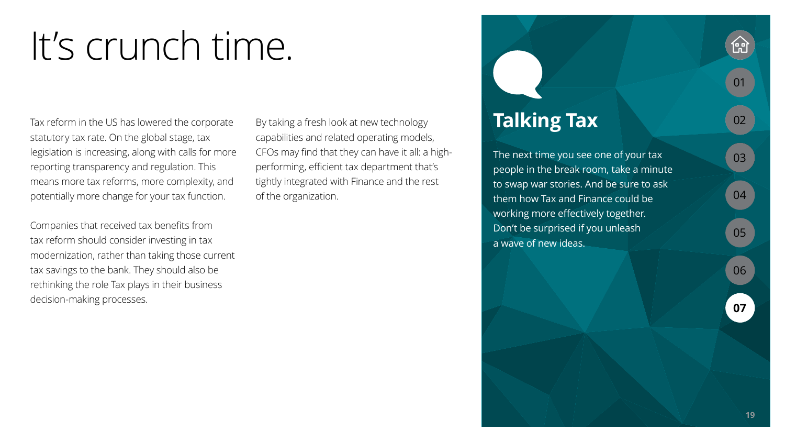## <span id="page-18-0"></span>It's crunch time.

Tax reform in the US has lowered the corporate By taking a fresh look at new technology<br>statutory tax rate. On the global stage, tax capabilities and related operating models,<br>legislation is increasing, along with calls fo legislation is increasing, along with calls for more reporting transparency and regulation. This means more tax reforms, more complexity, and potentially more change for your tax function.

Companies that received tax benefits from tax reform should consider investing in tax modernization, rather than taking those current tax savings to the bank. They should also be rethinking the role Tax plays in their business decision-making processes.

By taking a fresh look at new technology capabilities and related operating models, CFOs may find that they can have it all: a highperforming, efficient tax department that's tightly integrated with Finance and the rest of the organization.

## **Talking Tax**

The next time you see one of your tax people in the break room, take a minute to swap war stories. And be sure to ask them how Tax and Finance could be working more effectively together. Don't be surprised if you unleash a wave of new ideas.

**07**

[06](#page-16-0)

[05](#page-14-0)

**[03](#page-9-0)**

[02](#page-7-0)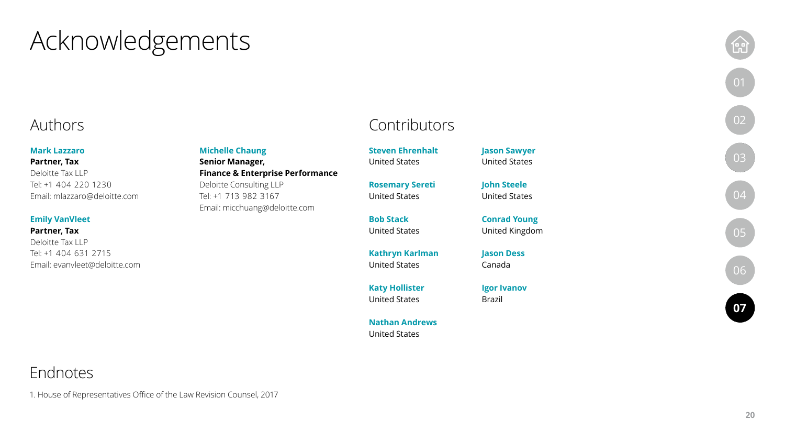## Acknowledgements

### Authors

### **Mark Lazzaro**

### **Partner, Tax**

Deloitte Tax LLP Tel: +1 404 220 1230 Email: mlazzaro@deloitte.com

#### **Emily VanVleet**

**Partner, Tax** Deloitte Tax LLP Tel: +1 404 631 2715 Email: evanvleet@deloitte.com

### **Michelle Chaung**

**Senior Manager, Finance & Enterprise Performance** Deloitte Consulting LLP Tel: +1 713 982 3167 Email: micchuang@deloitte.com

United States

**Steven Ehrenhalt**

**Contributors** 

**Rosemary Sereti** United States

**Bob Stack** United States

**Kathryn Karlman** United States

Canada

**Katy Hollister** United States

Brazil

**Nathan Andrews** United States

**Igor Ivanov**

**Jason Dess**

**Jason Sawyer** United States

**John Steele** United States

**Conrad Young** United Kingdom

Endnotes

1. House of Representatives Office of the Law Revision Counsel, 2017

**[07](#page-18-0)** [06](#page-16-0) [05](#page-14-0)

**[03](#page-9-0)** 03

[04](#page-12-0)

[02](#page-7-0)

[01](#page-5-0)

<u>trì</u>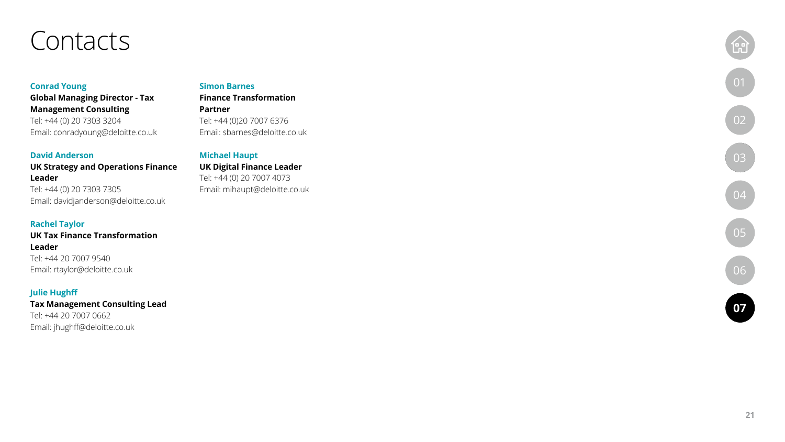## Contacts

#### **Conrad Young**

**Global Managing Director - Tax Management Consulting** Tel: +44 (0) 20 7303 3204 Email: conradyoung@deloitte.co.uk

#### **David Anderson**

### **UK Strategy and Operations Finance Leader**

Tel: +44 (0) 20 7303 7305 Email: davidjanderson@deloitte.co.uk

#### **Rachel Taylor**

#### **UK Tax Finance Transformation Leader**  Tel: +44 20 7007 9540

Email: rtaylor@deloitte.co.uk

#### **Julie Hughff**

**Tax Management Consulting Lead** Tel: +44 20 7007 0662 Email: jhughff@deloitte.co.uk

#### **Simon Barnes**

**Finance Transformation Partner**  Tel: +44 (0)20 7007 6376 Email: sbarnes@deloitte.co.uk

#### **Michael Haupt**

**UK Digital Finance Leader**  Tel: +44 (0) 20 7007 4073 Email: mihaupt@deloitte.co.uk